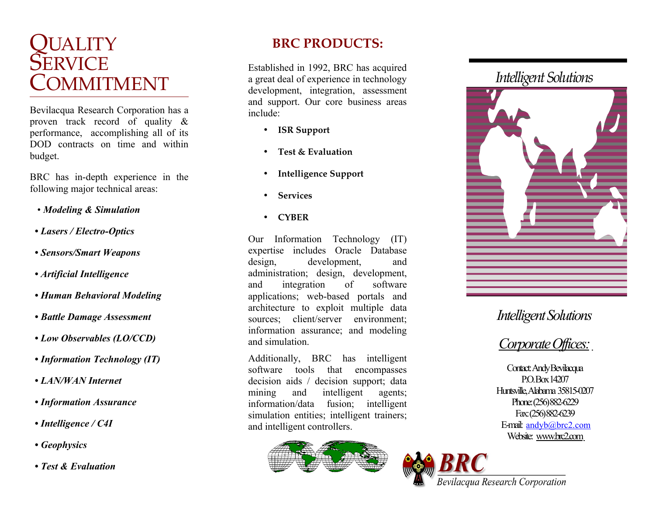# QUALITY<br>SERVICE<br>COMMITMENT

Bevilacqua Research Corporation has a proven track record of quality & performance, accomplishing all of its DOD contracts on time and within budget.

BRC has in-depth experience in the following major technical areas:

- *Modeling & Simulation*
- *Lasers / Electro-Optics*
- *Sensors/Smart Weapons*
- *Artificial Intelligence*
- *Human Behavioral Modeling*
- *Battle Damage Assessment*
- *Low Observables (LO/CCD)*
- *Information Technology (IT)*
- *LAN/WAN Internet*
- *Information Assurance*
- *Intelligence / C4I*
- *Geophysics*
- *Test & Evaluation*

### **BRC PRODUCTS:**

Established in 1992, BRC has acquired a great deal of experience in technology development, integration, assessment and support. Our core business areas include:

- **ISR Support**
- **Test & Evaluation**
- **Intelligence Support**
- **Services**
- **CYBER**

Our Information Technology (IT) expertise includes Oracle Database design, development, and administration; design, development, and integration of software applications; web-based portals and architecture to exploit multiple data sources; client/server environment; information assurance; and modeling and simulation.

Additionally, BRC has intelligent software tools that encompasses decision aids / decision support; data mining and intelligent agents; information/data fusion; intelligent simulation entities; intelligent trainers; and intelligent controllers.



## *Intelligent Solutions*



## *Intelligent Solutions*

# *Corporate Offices:*

Contact: Andy Bevilacqua P.O. Box 14207 Huntsville, Alabama 35815-0207 Phone: (256) 882-6229 Fax: (256) 882-6239 E-mail: [andyb@brc2.com](mailto:andyb@brc2.com) Website: www.brc2.com

Bevilacqua Research Corporation